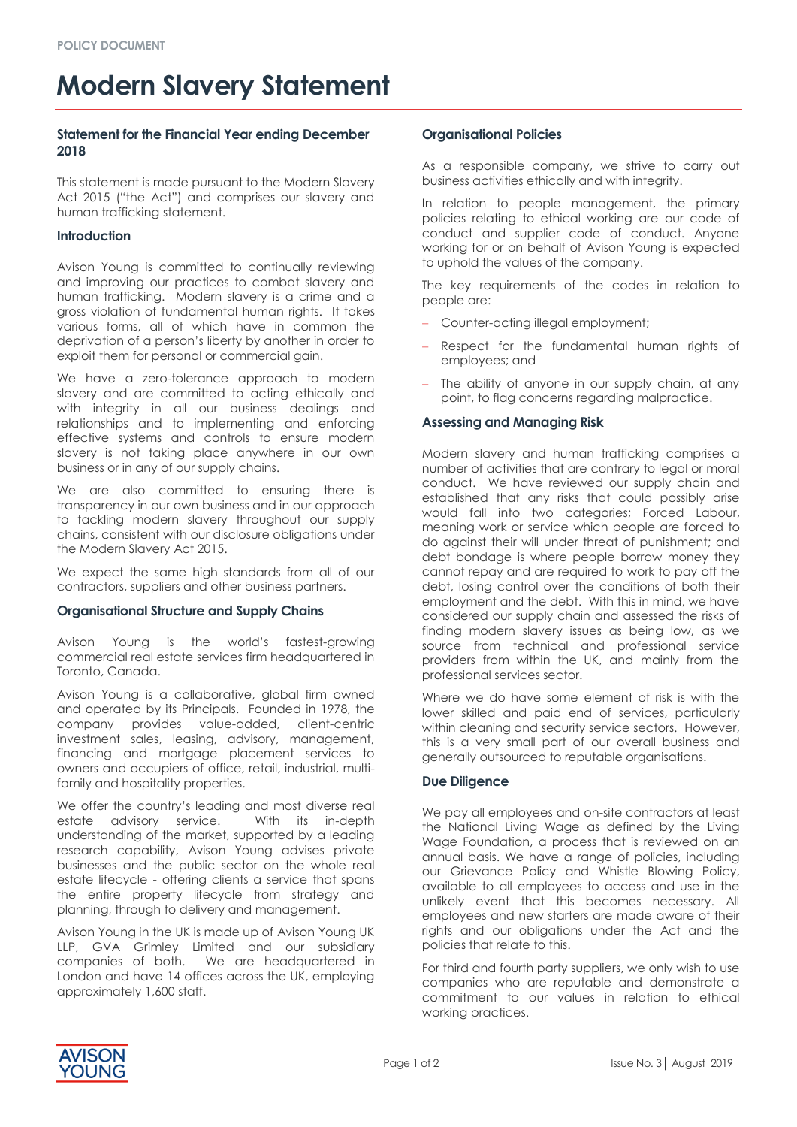# **Modern Slavery Statement**

# **Statement for the Financial Year ending December 2018**

This statement is made pursuant to the Modern Slavery Act 2015 ("the Act") and comprises our slavery and human trafficking statement.

## **Introduction**

Avison Young is committed to continually reviewing and improving our practices to combat slavery and human trafficking. Modern slavery is a crime and a gross violation of fundamental human rights. It takes various forms, all of which have in common the deprivation of a person's liberty by another in order to exploit them for personal or commercial gain.

We have a zero-tolerance approach to modern slavery and are committed to acting ethically and with integrity in all our business dealings and relationships and to implementing and enforcing effective systems and controls to ensure modern slavery is not taking place anywhere in our own business or in any of our supply chains.

We are also committed to ensuring there is transparency in our own business and in our approach to tackling modern slavery throughout our supply chains, consistent with our disclosure obligations under the Modern Slavery Act 2015.

We expect the same high standards from all of our contractors, suppliers and other business partners.

## **Organisational Structure and Supply Chains**

Avison Young is the world's fastest-growing commercial real estate services firm headquartered in Toronto, Canada.

Avison Young is a collaborative, global firm owned and operated by its Principals. Founded in 1978, the company provides value-added, client-centric investment sales, leasing, advisory, management, financing and mortgage placement services to owners and occupiers of office, retail, industrial, multifamily and hospitality properties.

We offer the country's leading and most diverse real estate advisory service. With its in-depth understanding of the market, supported by a leading research capability, Avison Young advises private businesses and the public sector on the whole real estate lifecycle - offering clients a service that spans the entire property lifecycle from strategy and planning, through to delivery and management.

Avison Young in the UK is made up of Avison Young UK LLP, GVA Grimley Limited and our subsidiary companies of both. We are headquartered in London and have 14 offices across the UK, employing approximately 1,600 staff.

## **Organisational Policies**

As a responsible company, we strive to carry out business activities ethically and with integrity.

In relation to people management, the primary policies relating to ethical working are our code of conduct and supplier code of conduct. Anyone working for or on behalf of Avison Young is expected to uphold the values of the company.

The key requirements of the codes in relation to people are:

- Counter-acting illegal employment;
- Respect for the fundamental human rights of employees; and
- The ability of anyone in our supply chain, at any point, to flag concerns regarding malpractice.

## **Assessing and Managing Risk**

Modern slavery and human trafficking comprises a number of activities that are contrary to legal or moral conduct. We have reviewed our supply chain and established that any risks that could possibly arise would fall into two categories; Forced Labour, meaning work or service which people are forced to do against their will under threat of punishment; and debt bondage is where people borrow money they cannot repay and are required to work to pay off the debt, losing control over the conditions of both their employment and the debt. With this in mind, we have considered our supply chain and assessed the risks of finding modern slavery issues as being low, as we source from technical and professional service providers from within the UK, and mainly from the professional services sector.

Where we do have some element of risk is with the lower skilled and paid end of services, particularly within cleaning and security service sectors. However, this is a very small part of our overall business and generally outsourced to reputable organisations.

## **Due Diligence**

We pay all employees and on-site contractors at least the National Living Wage as defined by the Living Wage Foundation, a process that is reviewed on an annual basis. We have a range of policies, including our Grievance Policy and Whistle Blowing Policy, available to all employees to access and use in the unlikely event that this becomes necessary. All employees and new starters are made aware of their rights and our obligations under the Act and the policies that relate to this.

For third and fourth party suppliers, we only wish to use companies who are reputable and demonstrate a commitment to our values in relation to ethical working practices.